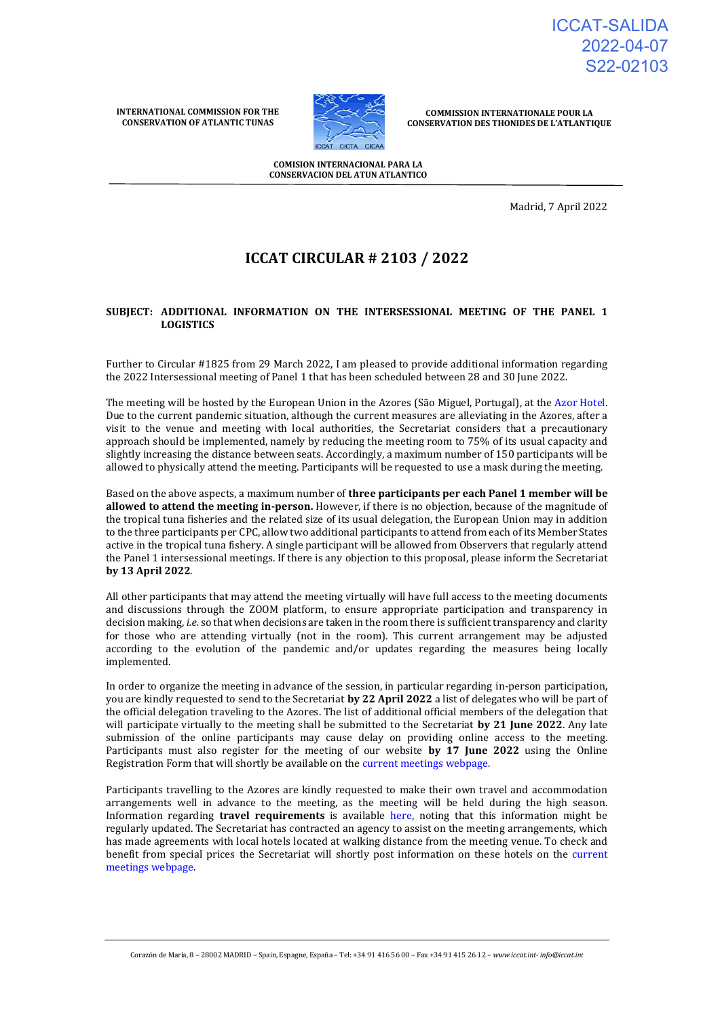ICCAT-SALIDA 2022-04-07 S22-02103

**INTERNATIONAL COMMISSION FOR THE CONSERVATION OF ATLANTIC TUNAS**



**COMMISSION INTERNATIONALE POUR LA CONSERVATION DES THONIDES DE L'ATLANTIQUE**

**COMISION INTERNACIONAL PARA LA CONSERVACION DEL ATUN ATLANTICO**

Madrid, 7 April 2022

# **ICCAT CIRCULAR # 2103 / 2022**

## **SUBJECT: ADDITIONAL INFORMATION ON THE INTERSESSIONAL MEETING OF THE PANEL 1 LOGISTICS**

Further to Circular #1825 from 29 March 2022, I am pleased to provide additional information regarding the 2022 Intersessional meeting of Panel 1 that has been scheduled between 28 and 30 June 2022.

The meeting will be hosted by the European Union in the Azores (São Miguel, Portugal), at the [Azor Hotel.](https://www.azorhotel.com/) Due to the current pandemic situation, although the current measures are alleviating in the Azores, after a visit to the venue and meeting with local authorities, the Secretariat considers that a precautionary approach should be implemented, namely by reducing the meeting room to 75% of its usual capacity and slightly increasing the distance between seats. Accordingly, a maximum number of 150 participants will be allowed to physically attend the meeting. Participants will be requested to use a mask during the meeting.

Based on the above aspects, a maximum number of **three participants per each Panel 1 member will be allowed to attend the meeting in-person.** However, if there is no objection, because of the magnitude of the tropical tuna fisheries and the related size of its usual delegation, the European Union may in addition to the three participants per CPC, allow two additional participants to attend from each of its Member States active in the tropical tuna fishery. A single participant will be allowed from Observers that regularly attend the Panel 1 intersessional meetings. If there is any objection to this proposal, please inform the Secretariat **by 13 April 2022**.

All other participants that may attend the meeting virtually will have full access to the meeting documents and discussions through the ZOOM platform, to ensure appropriate participation and transparency in decision making, *i.e.* so that when decisions are taken in the room there is sufficient transparency and clarity for those who are attending virtually (not in the room). This current arrangement may be adjusted according to the evolution of the pandemic and/or updates regarding the measures being locally implemented.

In order to organize the meeting in advance of the session, in particular regarding in-person participation, you are kindly requested to send to the Secretariat **by 22 April 2022** a list of delegates who will be part of the official delegation traveling to the Azores. The list of additional official members of the delegation that will participate virtually to the meeting shall be submitted to the Secretariat **by 21 June 2022**. Any late submission of the online participants may cause delay on providing online access to the meeting. Participants must also register for the meeting of our website **by 17 June 2022** using the Online Registration Form that will shortly be available on the [current meetings webpage.](https://www.iccat.int/en/Meetings.html)

Participants travelling to the Azores are kindly requested to make their own travel and accommodation arrangements well in advance to the meeting, as the meeting will be held during the high season. Information regarding **travel requirements** is available [here,](https://www.visitportugal.com/en/content/covid-19-measures-implemented-portugal) noting that this information might be regularly updated. The Secretariat has contracted an agency to assist on the meeting arrangements, which has made agreements with local hotels located at walking distance from the meeting venue. To check and benefit from special prices the Secretariat will shortly post information on these hotels on the [current](https://www.iccat.int/en/Meetings.html)  [meetings webpage.](https://www.iccat.int/en/Meetings.html)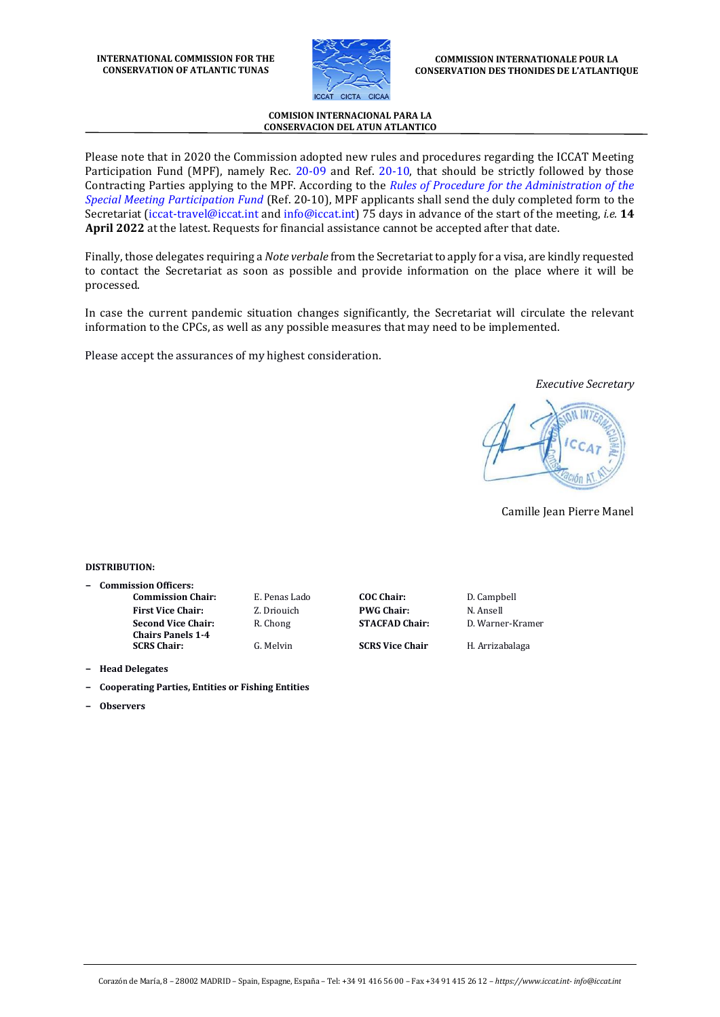

### **COMISION INTERNACIONAL PARA LA CONSERVACION DEL ATUN ATLANTICO**

Please note that in 2020 the Commission adopted new rules and procedures regarding the ICCAT Meeting Participation Fund (MPF), namely Rec. [20-09](https://www.iccat.int/Documents/Recs/compendiopdf-e/2020-09-e.pdf) and Ref. [20-10,](https://www.iccat.int/Documents/Recs/compendiopdf-e/2020-10-e.pdf) that should be strictly followed by those Contracting Parties applying to the MPF. According to the *[Rules of Procedure for the Administration of the](https://www.iccat.int/Documents/Recs/compendiopdf-e/2020-10-e.pdf)  [Special Meeting Participation Fund](https://www.iccat.int/Documents/Recs/compendiopdf-e/2020-10-e.pdf)* (Ref. 20-10), MPF applicants shall send the duly completed form to the Secretariat [\(iccat-travel@iccat.int](mailto:iccat-travel@iccat.int) and [info@iccat.int\)](mailto:info@iccat.int) 75 days in advance of the start of the meeting, *i.e.* **14 April 2022** at the latest. Requests for financial assistance cannot be accepted after that date.

Finally, those delegates requiring a *Note verbale* from the Secretariat to apply for a visa, are kindly requested to contact the Secretariat as soon as possible and provide information on the place where it will be processed.

In case the current pandemic situation changes significantly, the Secretariat will circulate the relevant information to the CPCs, as well as any possible measures that may need to be implemented.

Please accept the assurances of my highest consideration.

*Executive Secretary*

Camille Jean Pierre Manel

### **DISTRIBUTION:**

- **− Commission Officers:**
	- **First Vice Chair:** Z. Driouich **PWG Chair:** N. Ansell **Second Vice Chair: Chairs Panels 1-4**

**Commission Chair:** E. Penas Lado **COC Chair:** D. Campbell

R. Chong **STACFAD Chair:** D. Warner-Kramer

**SCRS Chair:** G. Melvin **SCRS Vice Chair** H. Arrizabalaga

- **− Head Delegates**
- **− Cooperating Parties, Entities or Fishing Entities**
- **− Observers**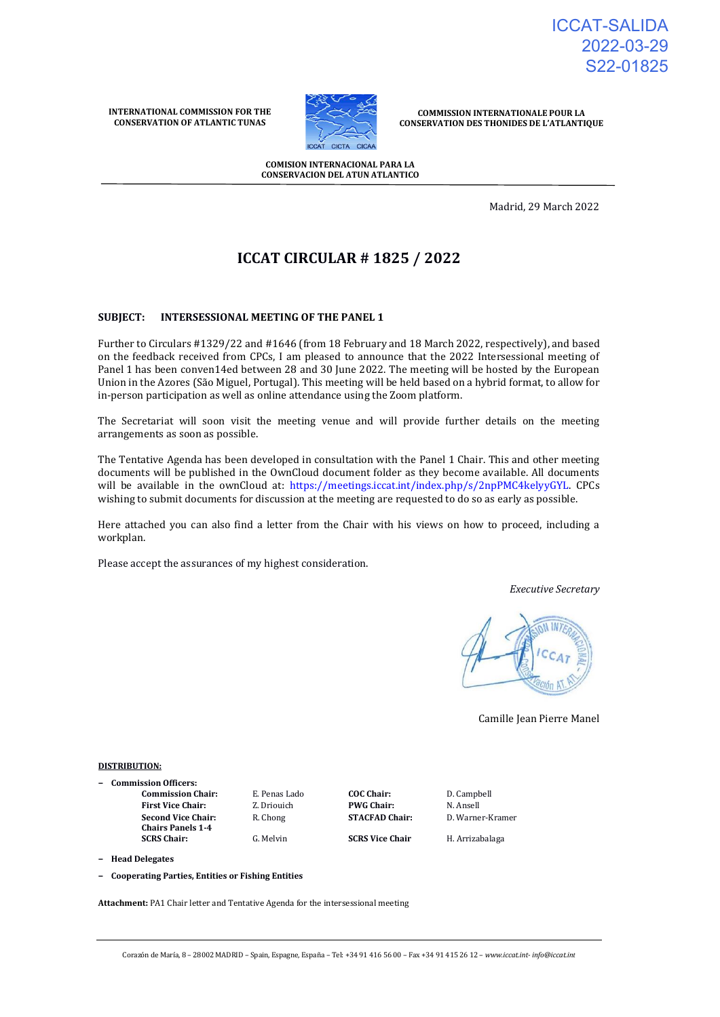ICCAT-SALIDA 2022-03-29 S22-01825

**INTERNATIONAL COMMISSION FOR THE CONSERVATION OF ATLANTIC TUNAS**



**COMMISSION INTERNATIONALE POUR LA CONSERVATION DES THONIDES DE L'ATLANTIQUE**

**COMISION INTERNACIONAL PARA LA CONSERVACION DEL ATUN ATLANTICO**

Madrid, 29 March 2022

# **ICCAT CIRCULAR # 1825 / 2022**

# **SUBJECT: INTERSESSIONAL MEETING OF THE PANEL 1**

Further to Circulars #1329/22 and #1646 (from 18 February and 18 March 2022, respectively), and based on the feedback received from CPCs, I am pleased to announce that the 2022 Intersessional meeting of Panel 1 has been conven14ed between 28 and 30 June 2022. The meeting will be hosted by the European Union in the Azores (São Miguel, Portugal). This meeting will be held based on a hybrid format, to allow for in-person participation as well as online attendance using the Zoom platform.

The Secretariat will soon visit the meeting venue and will provide further details on the meeting arrangements as soon as possible.

The Tentative Agenda has been developed in consultation with the Panel 1 Chair. This and other meeting documents will be published in the OwnCloud document folder as they become available. All documents will be available in the ownCloud at: [https://meetings.iccat.int/index.php/s/2npPMC4kelyyGYL.](https://meetings.iccat.int/index.php/s/2npPMC4kelyyGYL) CPCs wishing to submit documents for discussion at the meeting are requested to do so as early as possible.

Here attached you can also find a letter from the Chair with his views on how to proceed, including a workplan.

Please accept the assurances of my highest consideration.

*Executive Secretary*



Camille Jean Pierre Manel

#### **DISTRIBUTION:**

- **− Commission Officers:**
	- **First Vice Chair:** Z. Driouich **PWG Chair:** N. Ansell **Second Vice Chair: Chairs Panels 1-4**

**Commission Chair:** E. Penas Lado **COC Chair:** D. Campbell R. Chong **STACFAD Chair:** D. Warner-Kramer

**SCRS Chair:** G. Melvin **SCRS Vice Chair** H. Arrizabalaga

**− Head Delegates**

**− Cooperating Parties, Entities or Fishing Entities**

**Attachment:** PA1 Chair letter and Tentative Agenda for the intersessional meeting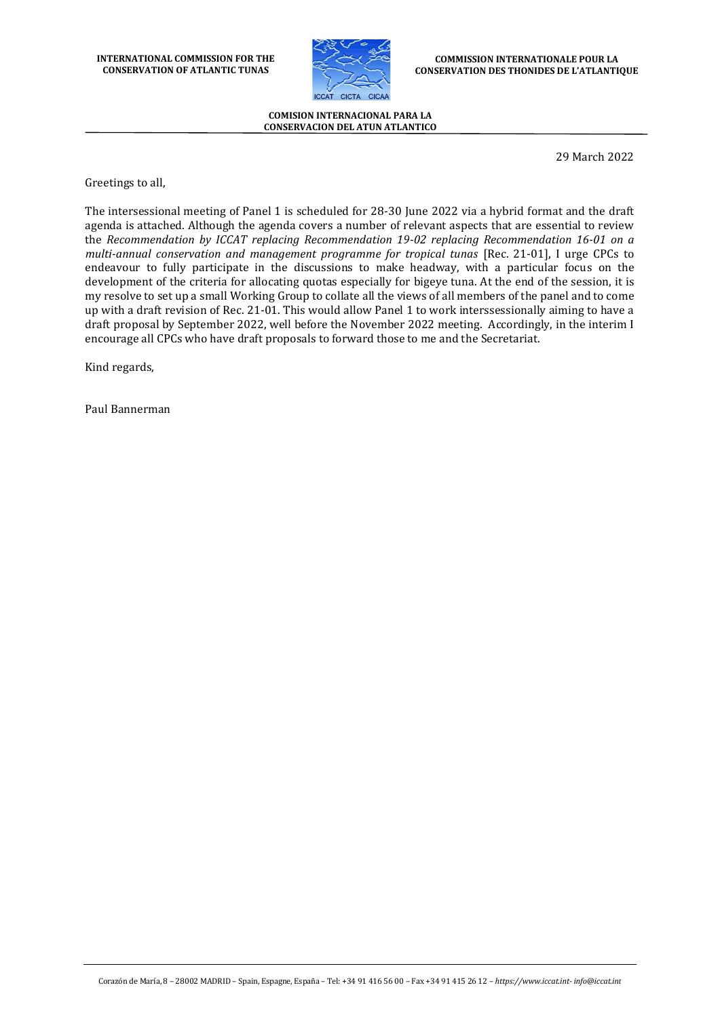**INTERNATIONAL COMMISSION FOR THE CONSERVATION OF ATLANTIC TUNAS**



**COMMISSION INTERNATIONALE POUR LA CONSERVATION DES THONIDES DE L'ATLANTIQUE**

**COMISION INTERNACIONAL PARA LA CONSERVACION DEL ATUN ATLANTICO**

29 March 2022

Greetings to all,

The intersessional meeting of Panel 1 is scheduled for 28-30 June 2022 via a hybrid format and the draft agenda is attached. Although the agenda covers a number of relevant aspects that are essential to review the *Recommendation by ICCAT replacing Recommendation 19-02 replacing Recommendation 16-01 on a multi-annual conservation and management programme for tropical tunas* [Rec. 21-01], I urge CPCs to endeavour to fully participate in the discussions to make headway, with a particular focus on the development of the criteria for allocating quotas especially for bigeye tuna. At the end of the session, it is my resolve to set up a small Working Group to collate all the views of all members of the panel and to come up with a draft revision of Rec. 21-01. This would allow Panel 1 to work interssessionally aiming to have a draft proposal by September 2022, well before the November 2022 meeting. Accordingly, in the interim I encourage all CPCs who have draft proposals to forward those to me and the Secretariat.

Kind regards,

Paul Bannerman